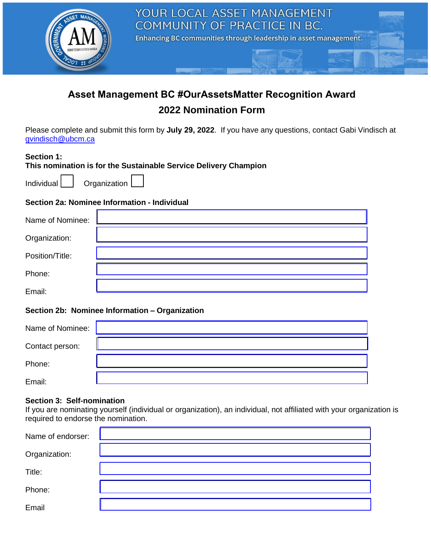

# **Asset Management BC #OurAssetsMatter Recognition Award 2022 Nomination Form**

Please complete and submit this form by **July 29, 2022**. If you have any questions, contact Gabi Vindisch at [gvindisch@ubcm.ca](mailto:gvindisch@ubcm.ca)

# **Section 1:**

**This nomination is for the Sustainable Service Delivery Champion** 

Individual **Organization** 

# **Section 2a: Nominee Information - Individual**

| Name of Nominee: |  |
|------------------|--|
| Organization:    |  |
| Position/Title:  |  |
| Phone:           |  |
| Email:           |  |

# **Section 2b: Nominee Information – Organization**

| Name of Nominee: |  |
|------------------|--|
| Contact person:  |  |
| Phone:           |  |
| Email:           |  |

#### **Section 3: Self-nomination**

If you are nominating yourself (individual or organization), an individual, not affiliated with your organization is required to endorse the nomination.

| Name of endorser: |  |
|-------------------|--|
| Organization:     |  |
| Title:            |  |
| Phone:            |  |
| Email             |  |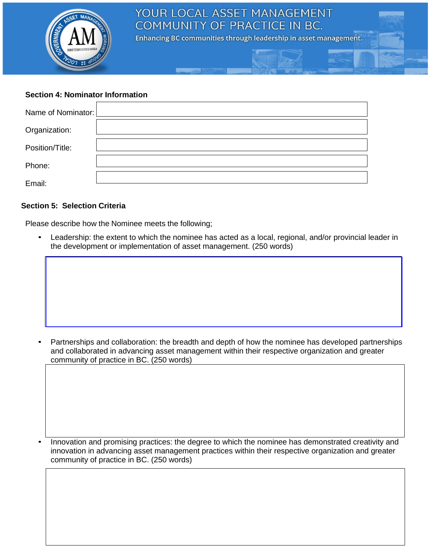

### **Section 4: Nominator Information**

| Name of Nominator: [ |  |
|----------------------|--|
| Organization:        |  |
| Position/Title:      |  |
| Phone:               |  |
| Email:               |  |

#### **Section 5: Selection Criteria**

Please describe how the Nominee meets the following;

• Leadership: the extent to which the nominee has acted as a local, regional, and/or provincial leader in the development or implementation of asset management. (250 words)



• Innovation and promising practices: the degree to which the nominee has demonstrated creativity and innovation in advancing asset management practices within their respective organization and greater community of practice in BC. (250 words)